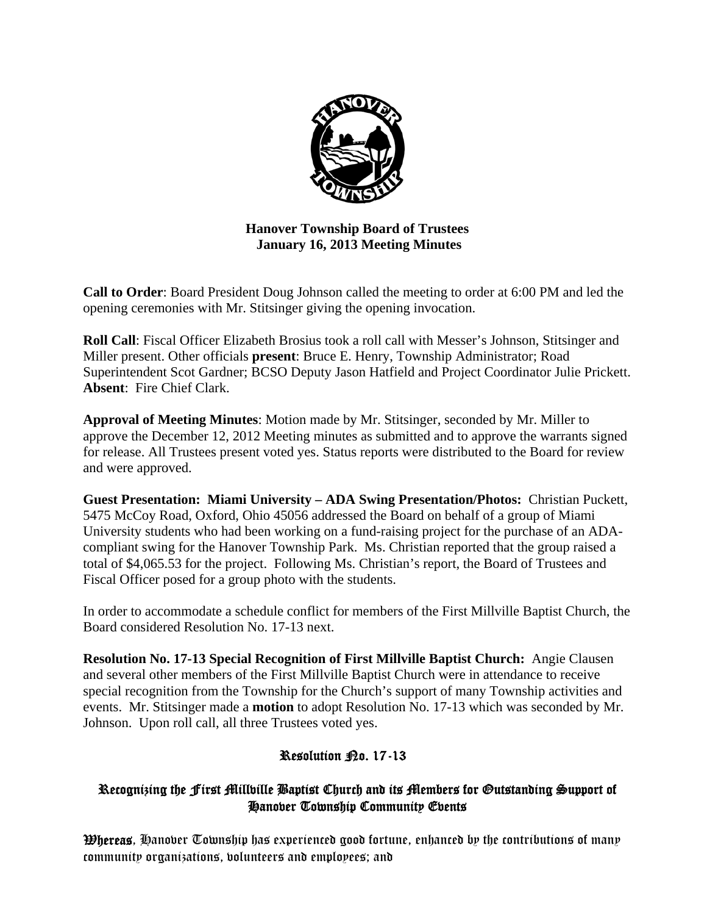

**Hanover Township Board of Trustees January 16, 2013 Meeting Minutes** 

**Call to Order**: Board President Doug Johnson called the meeting to order at 6:00 PM and led the opening ceremonies with Mr. Stitsinger giving the opening invocation.

**Roll Call**: Fiscal Officer Elizabeth Brosius took a roll call with Messer's Johnson, Stitsinger and Miller present. Other officials **present**: Bruce E. Henry, Township Administrator; Road Superintendent Scot Gardner; BCSO Deputy Jason Hatfield and Project Coordinator Julie Prickett. **Absent**: Fire Chief Clark.

**Approval of Meeting Minutes**: Motion made by Mr. Stitsinger, seconded by Mr. Miller to approve the December 12, 2012 Meeting minutes as submitted and to approve the warrants signed for release. All Trustees present voted yes. Status reports were distributed to the Board for review and were approved.

**Guest Presentation: Miami University – ADA Swing Presentation/Photos:** Christian Puckett, 5475 McCoy Road, Oxford, Ohio 45056 addressed the Board on behalf of a group of Miami University students who had been working on a fund-raising project for the purchase of an ADAcompliant swing for the Hanover Township Park. Ms. Christian reported that the group raised a total of \$4,065.53 for the project. Following Ms. Christian's report, the Board of Trustees and Fiscal Officer posed for a group photo with the students.

In order to accommodate a schedule conflict for members of the First Millville Baptist Church, the Board considered Resolution No. 17-13 next.

**Resolution No. 17-13 Special Recognition of First Millville Baptist Church:** Angie Clausen and several other members of the First Millville Baptist Church were in attendance to receive special recognition from the Township for the Church's support of many Township activities and events. Mr. Stitsinger made a **motion** to adopt Resolution No. 17-13 which was seconded by Mr. Johnson. Upon roll call, all three Trustees voted yes.

# Resolution <sub>P20</sub>. 17-13

# Recognizing the First Millville Baptist Church and its Members for Outstanding Support of Hanover Township Community Events

**Whereas**, Hanover Township has experienced good fortune, enhanced by the contributions of many community organizations, volunteers and employees; and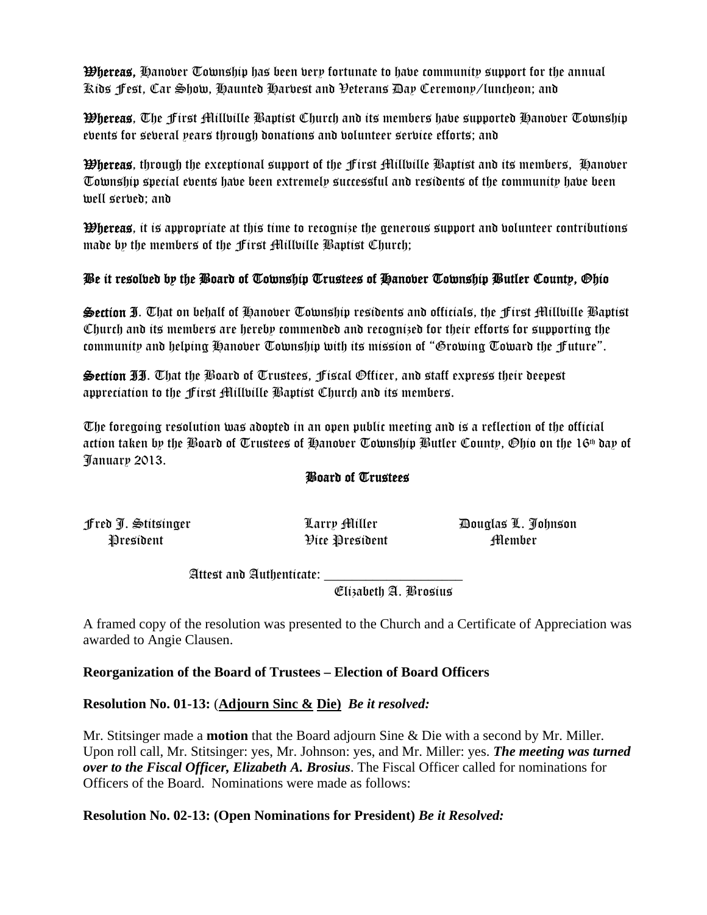**Whereas,** Hanover Township has been very fortunate to have community support for the annual Kids Fest, Car Show, Haunted Harvest and Veterans Day Ceremony/luncheon; and

Whereas, The First Millville Baptist Church and its members have supported Hanover Township events for several years through donations and volunteer service efforts; and

Whereas, through the exceptional support of the First Millville Baptist and its members, Hanover Township special events have been extremely successful and residents of the community have been well served; and

Whereas, it is appropriate at this time to recognize the generous support and volunteer contributions made by the members of the First Millville Baptist Church;

# Be it resolved by the Board of Township Trustees of Hanover Township Butler County, Ohio

Section I. That on behalf of Hanover Township residents and officials, the First Millville Baptist Church and its members are hereby commended and recognized for their efforts for supporting the community and helping Hanover Township with its mission of "Growing Toward the Future".

Section II. That the Board of Trustees, Fiscal Officer, and staff express their deepest appreciation to the First Millville Baptist Church and its members.

The foregoing resolution was adopted in an open public meeting and is a reflection of the official action taken by the Board of Trustees of Hanover Township Butler County, Ohio on the 16th day of January 2013.

### Board of Trustees

President Pice President President Member

Fred J. Stitsinger Larry Miller Douglas L. Johnson

Attest and Authenticate:

Elizabeth A. Brosius

A framed copy of the resolution was presented to the Church and a Certificate of Appreciation was awarded to Angie Clausen.

### **Reorganization of the Board of Trustees – Election of Board Officers**

**Resolution No. 01-13:** (**Adjourn Sinc & Die)** *Be it resolved:* 

Mr. Stitsinger made a **motion** that the Board adjourn Sine & Die with a second by Mr. Miller. Upon roll call, Mr. Stitsinger: yes, Mr. Johnson: yes, and Mr. Miller: yes. *The meeting was turned over to the Fiscal Officer, Elizabeth A. Brosius*. The Fiscal Officer called for nominations for Officers of the Board. Nominations were made as follows:

### **Resolution No. 02-13: (Open Nominations for President)** *Be it Resolved:*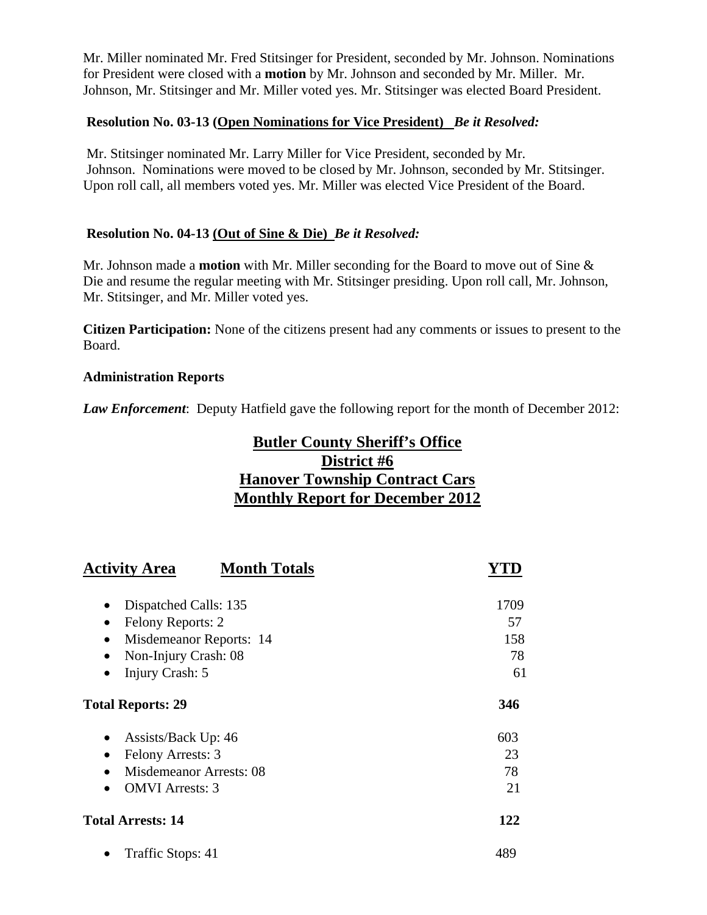Mr. Miller nominated Mr. Fred Stitsinger for President, seconded by Mr. Johnson. Nominations for President were closed with a **motion** by Mr. Johnson and seconded by Mr. Miller. Mr. Johnson, Mr. Stitsinger and Mr. Miller voted yes. Mr. Stitsinger was elected Board President.

### **Resolution No. 03-13 (Open Nominations for Vice President)** *Be it Resolved:*

 Mr. Stitsinger nominated Mr. Larry Miller for Vice President, seconded by Mr. Johnson. Nominations were moved to be closed by Mr. Johnson, seconded by Mr. Stitsinger. Upon roll call, all members voted yes. Mr. Miller was elected Vice President of the Board.

### **Resolution No. 04-13 (Out of Sine & Die)** *Be it Resolved:*

Mr. Johnson made a **motion** with Mr. Miller seconding for the Board to move out of Sine & Die and resume the regular meeting with Mr. Stitsinger presiding. Upon roll call, Mr. Johnson, Mr. Stitsinger, and Mr. Miller voted yes.

**Citizen Participation:** None of the citizens present had any comments or issues to present to the Board.

### **Administration Reports**

*Law Enforcement*: Deputy Hatfield gave the following report for the month of December 2012:

# **Butler County Sheriff's Office District #6 Hanover Township Contract Cars Monthly Report for December 2012**

| <b>Activity Area</b><br><b>Month Totals</b> |      |
|---------------------------------------------|------|
| Dispatched Calls: 135                       | 1709 |
| Felony Reports: 2<br>$\bullet$              | 57   |
| Misdemeanor Reports: 14<br>$\bullet$        | 158  |
| Non-Injury Crash: 08                        | 78   |
| Injury Crash: 5                             | 61   |
| <b>Total Reports: 29</b>                    | 346  |
| Assists/Back Up: 46<br>$\bullet$            | 603  |
| Felony Arrests: 3                           | 23   |
| Misdemeanor Arrests: 08                     | 78   |
| <b>OMVI</b> Arrests: 3<br>$\bullet$         | 21   |
| <b>Total Arrests: 14</b>                    | 122  |
| Traffic Stops: 41                           | 489  |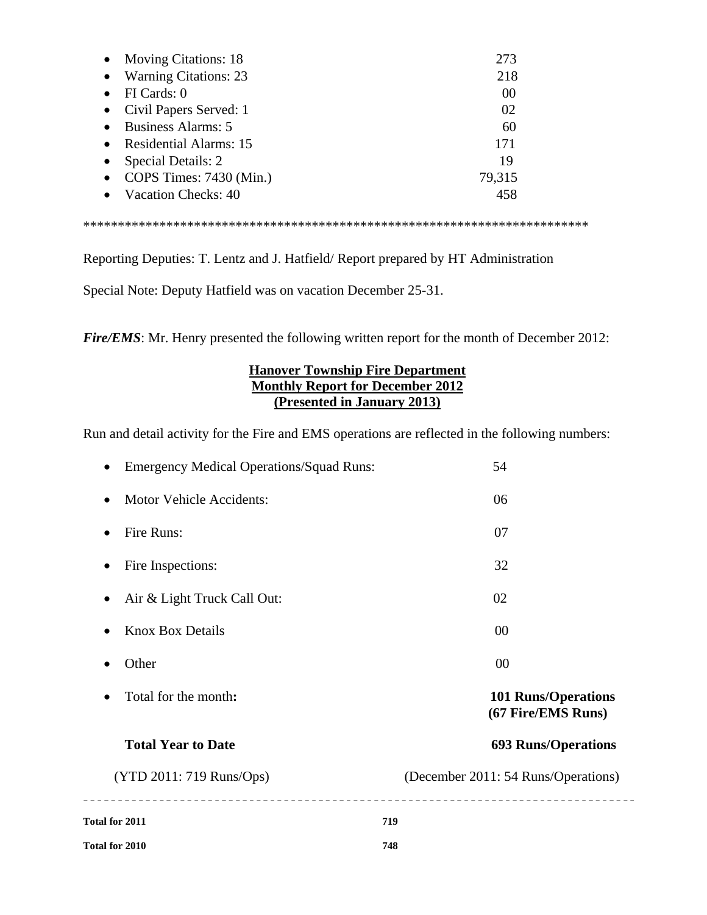| • Moving Citations: 18   | 273    |
|--------------------------|--------|
| • Warning Citations: 23  | 218    |
| FI Cards: 0              | 00     |
| Civil Papers Served: 1   | 02     |
| • Business Alarms: 5     | 60     |
| • Residential Alarms: 15 | 171    |
| Special Details: 2       | 19     |
| COPS Times: 7430 (Min.)  | 79,315 |
| • Vacation Checks: 40    | 458    |
|                          |        |

\*\*\*\*\*\*\*\*\*\*\*\*\*\*\*\*\*\*\*\*\*\*\*\*\*\*\*\*\*\*\*\*\*\*\*\*\*\*\*\*\*\*\*\*\*\*\*\*\*\*\*\*\*\*\*\*\*\*\*\*\*\*\*\*\*\*\*\*\*\*\*\*\*

Reporting Deputies: T. Lentz and J. Hatfield/ Report prepared by HT Administration

Special Note: Deputy Hatfield was on vacation December 25-31.

*Fire/EMS*: Mr. Henry presented the following written report for the month of December 2012:

### **Hanover Township Fire Department Monthly Report for December 2012 (Presented in January 2013)**

Run and detail activity for the Fire and EMS operations are reflected in the following numbers:

| <b>Total for 2011</b><br>Total for 2010         | 719<br>748                                       |
|-------------------------------------------------|--------------------------------------------------|
| (YTD 2011: 719 Runs/Ops)                        | (December 2011: 54 Runs/Operations)              |
| <b>Total Year to Date</b>                       | <b>693 Runs/Operations</b>                       |
| Total for the month:                            | <b>101 Runs/Operations</b><br>(67 Fire/EMS Runs) |
| Other                                           | 00                                               |
| <b>Knox Box Details</b>                         | 00                                               |
| Air & Light Truck Call Out:                     | 02                                               |
| Fire Inspections:                               | 32                                               |
| Fire Runs:                                      | 07                                               |
| <b>Motor Vehicle Accidents:</b>                 | 06                                               |
| <b>Emergency Medical Operations/Squad Runs:</b> | 54                                               |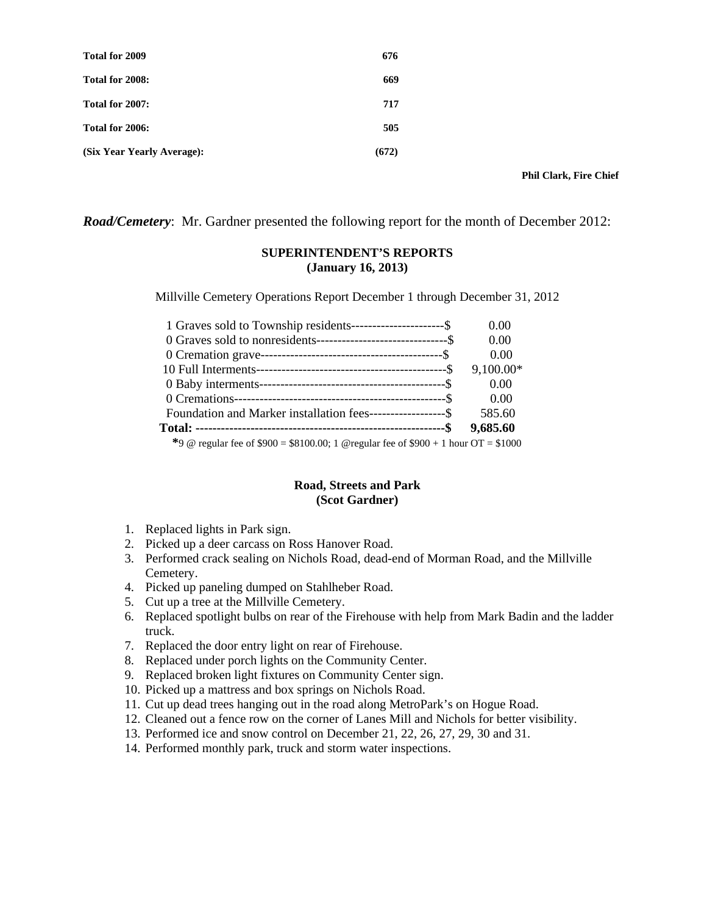| Total for 2009             | 676   |
|----------------------------|-------|
| Total for 2008:            | 669   |
| Total for 2007:            | 717   |
| Total for 2006:            | 505   |
| (Six Year Yearly Average): | (672) |

 **Phil Clark, Fire Chief** 

*Road/Cemetery*: Mr. Gardner presented the following report for the month of December 2012:

#### **SUPERINTENDENT'S REPORTS (January 16, 2013)**

Millville Cemetery Operations Report December 1 through December 31, 2012

| 1 Graves sold to Township residents-----------------------\$                           | 0.00      |
|----------------------------------------------------------------------------------------|-----------|
| 0 Graves sold to nonresidents---------------------------------\$                       | 0.00      |
|                                                                                        | 0.00      |
|                                                                                        | 9,100.00* |
|                                                                                        | 0.00      |
|                                                                                        | 0.00      |
| Foundation and Marker installation fees------------------\$                            | 585.60    |
|                                                                                        | 9,685.60  |
| *9 @ regular fee of $$900 = $8100.00$ ; 1 @ regular fee of $$900 + 1$ hour OT = \$1000 |           |

#### **Road, Streets and Park (Scot Gardner)**

- 1. Replaced lights in Park sign.
- 2. Picked up a deer carcass on Ross Hanover Road.
- 3. Performed crack sealing on Nichols Road, dead-end of Morman Road, and the Millville Cemetery.
- 4. Picked up paneling dumped on Stahlheber Road.
- 5. Cut up a tree at the Millville Cemetery.
- 6. Replaced spotlight bulbs on rear of the Firehouse with help from Mark Badin and the ladder truck.
- 7. Replaced the door entry light on rear of Firehouse.
- 8. Replaced under porch lights on the Community Center.
- 9. Replaced broken light fixtures on Community Center sign.
- 10. Picked up a mattress and box springs on Nichols Road.
- 11. Cut up dead trees hanging out in the road along MetroPark's on Hogue Road.
- 12. Cleaned out a fence row on the corner of Lanes Mill and Nichols for better visibility.
- 13. Performed ice and snow control on December 21, 22, 26, 27, 29, 30 and 31.
- 14. Performed monthly park, truck and storm water inspections.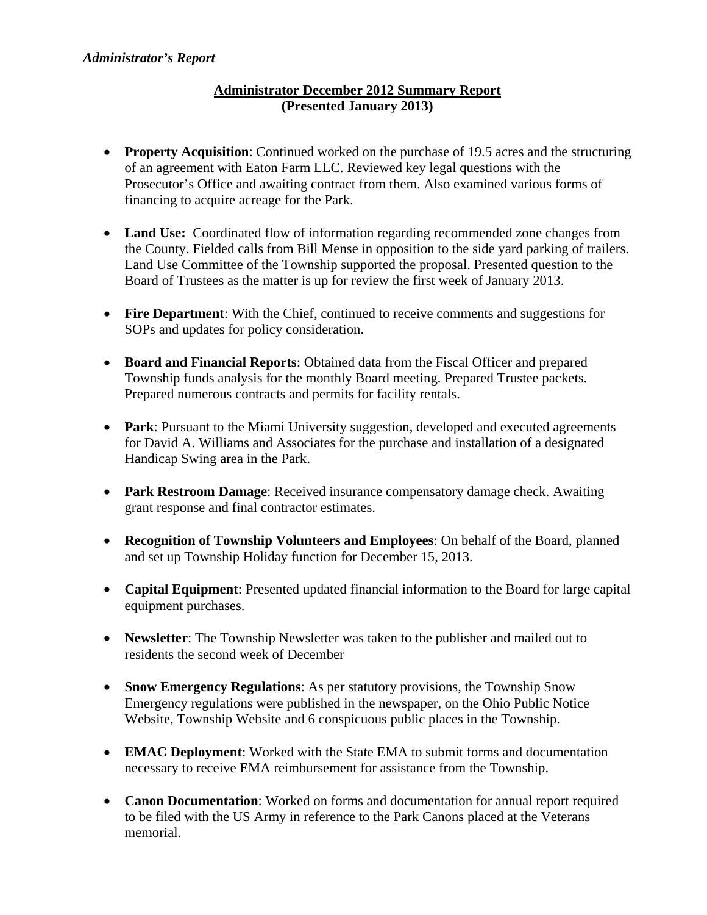# **Administrator December 2012 Summary Report (Presented January 2013)**

- **Property Acquisition**: Continued worked on the purchase of 19.5 acres and the structuring of an agreement with Eaton Farm LLC. Reviewed key legal questions with the Prosecutor's Office and awaiting contract from them. Also examined various forms of financing to acquire acreage for the Park.
- Land Use: Coordinated flow of information regarding recommended zone changes from the County. Fielded calls from Bill Mense in opposition to the side yard parking of trailers. Land Use Committee of the Township supported the proposal. Presented question to the Board of Trustees as the matter is up for review the first week of January 2013.
- **Fire Department**: With the Chief, continued to receive comments and suggestions for SOPs and updates for policy consideration.
- **Board and Financial Reports**: Obtained data from the Fiscal Officer and prepared Township funds analysis for the monthly Board meeting. Prepared Trustee packets. Prepared numerous contracts and permits for facility rentals.
- **Park**: Pursuant to the Miami University suggestion, developed and executed agreements for David A. Williams and Associates for the purchase and installation of a designated Handicap Swing area in the Park.
- **Park Restroom Damage**: Received insurance compensatory damage check. Awaiting grant response and final contractor estimates.
- **Recognition of Township Volunteers and Employees**: On behalf of the Board, planned and set up Township Holiday function for December 15, 2013.
- **Capital Equipment**: Presented updated financial information to the Board for large capital equipment purchases.
- **Newsletter**: The Township Newsletter was taken to the publisher and mailed out to residents the second week of December
- **Snow Emergency Regulations**: As per statutory provisions, the Township Snow Emergency regulations were published in the newspaper, on the Ohio Public Notice Website, Township Website and 6 conspicuous public places in the Township.
- **EMAC Deployment**: Worked with the State EMA to submit forms and documentation necessary to receive EMA reimbursement for assistance from the Township.
- **Canon Documentation**: Worked on forms and documentation for annual report required to be filed with the US Army in reference to the Park Canons placed at the Veterans memorial.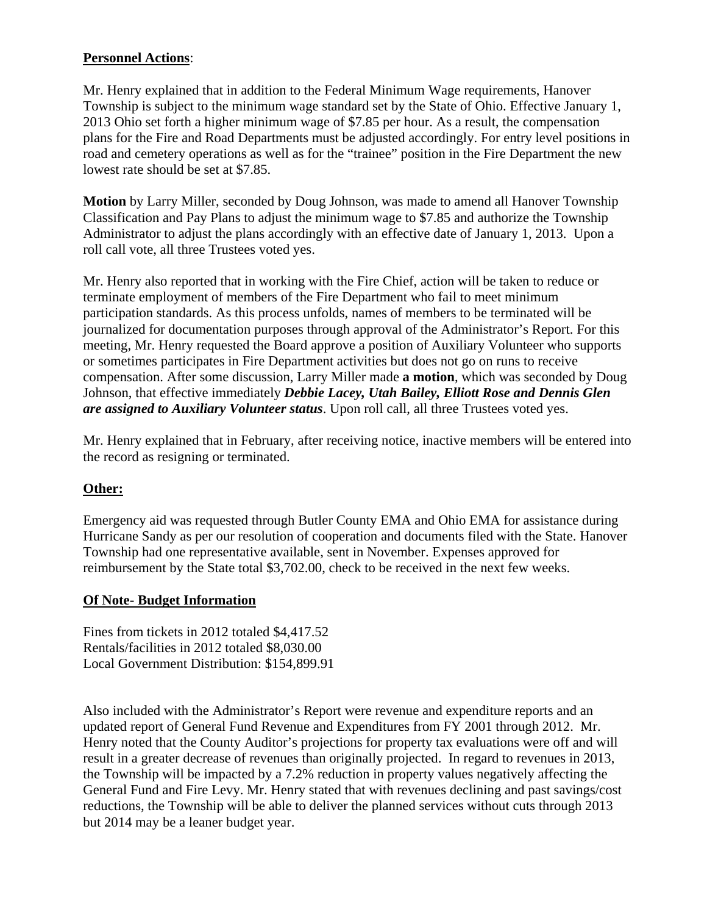# **Personnel Actions**:

Mr. Henry explained that in addition to the Federal Minimum Wage requirements, Hanover Township is subject to the minimum wage standard set by the State of Ohio. Effective January 1, 2013 Ohio set forth a higher minimum wage of \$7.85 per hour. As a result, the compensation plans for the Fire and Road Departments must be adjusted accordingly. For entry level positions in road and cemetery operations as well as for the "trainee" position in the Fire Department the new lowest rate should be set at \$7.85.

**Motion** by Larry Miller, seconded by Doug Johnson, was made to amend all Hanover Township Classification and Pay Plans to adjust the minimum wage to \$7.85 and authorize the Township Administrator to adjust the plans accordingly with an effective date of January 1, 2013. Upon a roll call vote, all three Trustees voted yes.

Mr. Henry also reported that in working with the Fire Chief, action will be taken to reduce or terminate employment of members of the Fire Department who fail to meet minimum participation standards. As this process unfolds, names of members to be terminated will be journalized for documentation purposes through approval of the Administrator's Report. For this meeting, Mr. Henry requested the Board approve a position of Auxiliary Volunteer who supports or sometimes participates in Fire Department activities but does not go on runs to receive compensation. After some discussion, Larry Miller made **a motion**, which was seconded by Doug Johnson, that effective immediately *Debbie Lacey, Utah Bailey, Elliott Rose and Dennis Glen are assigned to Auxiliary Volunteer status*. Upon roll call, all three Trustees voted yes.

Mr. Henry explained that in February, after receiving notice, inactive members will be entered into the record as resigning or terminated.

# **Other:**

Emergency aid was requested through Butler County EMA and Ohio EMA for assistance during Hurricane Sandy as per our resolution of cooperation and documents filed with the State. Hanover Township had one representative available, sent in November. Expenses approved for reimbursement by the State total \$3,702.00, check to be received in the next few weeks.

# **Of Note- Budget Information**

Fines from tickets in 2012 totaled \$4,417.52 Rentals/facilities in 2012 totaled \$8,030.00 Local Government Distribution: \$154,899.91

Also included with the Administrator's Report were revenue and expenditure reports and an updated report of General Fund Revenue and Expenditures from FY 2001 through 2012. Mr. Henry noted that the County Auditor's projections for property tax evaluations were off and will result in a greater decrease of revenues than originally projected. In regard to revenues in 2013, the Township will be impacted by a 7.2% reduction in property values negatively affecting the General Fund and Fire Levy. Mr. Henry stated that with revenues declining and past savings/cost reductions, the Township will be able to deliver the planned services without cuts through 2013 but 2014 may be a leaner budget year.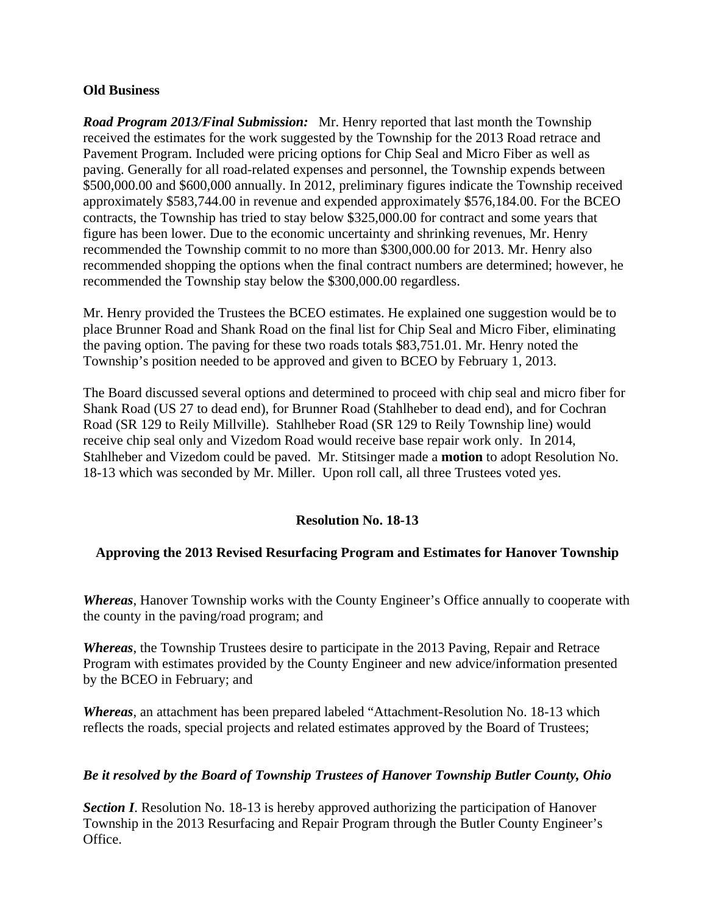### **Old Business**

*Road Program 2013/Final Submission:* Mr. Henry reported that last month the Township received the estimates for the work suggested by the Township for the 2013 Road retrace and Pavement Program. Included were pricing options for Chip Seal and Micro Fiber as well as paving. Generally for all road-related expenses and personnel, the Township expends between \$500,000.00 and \$600,000 annually. In 2012, preliminary figures indicate the Township received approximately \$583,744.00 in revenue and expended approximately \$576,184.00. For the BCEO contracts, the Township has tried to stay below \$325,000.00 for contract and some years that figure has been lower. Due to the economic uncertainty and shrinking revenues, Mr. Henry recommended the Township commit to no more than \$300,000.00 for 2013. Mr. Henry also recommended shopping the options when the final contract numbers are determined; however, he recommended the Township stay below the \$300,000.00 regardless.

Mr. Henry provided the Trustees the BCEO estimates. He explained one suggestion would be to place Brunner Road and Shank Road on the final list for Chip Seal and Micro Fiber, eliminating the paving option. The paving for these two roads totals \$83,751.01. Mr. Henry noted the Township's position needed to be approved and given to BCEO by February 1, 2013.

The Board discussed several options and determined to proceed with chip seal and micro fiber for Shank Road (US 27 to dead end), for Brunner Road (Stahlheber to dead end), and for Cochran Road (SR 129 to Reily Millville). Stahlheber Road (SR 129 to Reily Township line) would receive chip seal only and Vizedom Road would receive base repair work only. In 2014, Stahlheber and Vizedom could be paved. Mr. Stitsinger made a **motion** to adopt Resolution No. 18-13 which was seconded by Mr. Miller. Upon roll call, all three Trustees voted yes.

### **Resolution No. 18-13**

### **Approving the 2013 Revised Resurfacing Program and Estimates for Hanover Township**

*Whereas*, Hanover Township works with the County Engineer's Office annually to cooperate with the county in the paving/road program; and

*Whereas*, the Township Trustees desire to participate in the 2013 Paving, Repair and Retrace Program with estimates provided by the County Engineer and new advice/information presented by the BCEO in February; and

*Whereas*, an attachment has been prepared labeled "Attachment-Resolution No. 18-13 which reflects the roads, special projects and related estimates approved by the Board of Trustees;

### *Be it resolved by the Board of Township Trustees of Hanover Township Butler County, Ohio*

**Section I.** Resolution No. 18-13 is hereby approved authorizing the participation of Hanover Township in the 2013 Resurfacing and Repair Program through the Butler County Engineer's Office.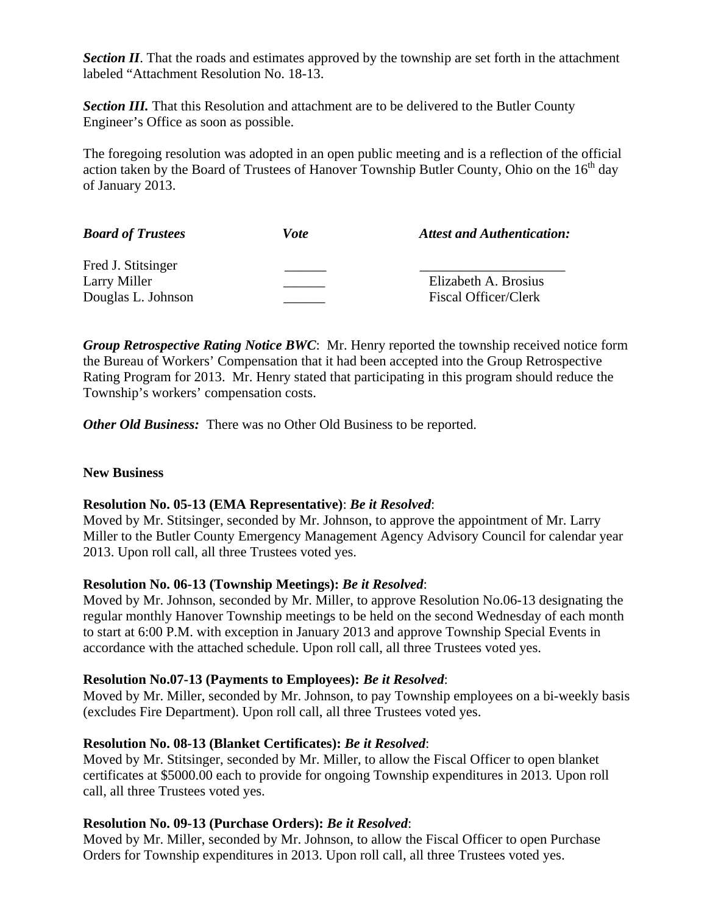**Section II.** That the roads and estimates approved by the township are set forth in the attachment labeled "Attachment Resolution No. 18-13.

*Section III.* That this Resolution and attachment are to be delivered to the Butler County Engineer's Office as soon as possible.

The foregoing resolution was adopted in an open public meeting and is a reflection of the official action taken by the Board of Trustees of Hanover Township Butler County, Ohio on the  $16<sup>th</sup>$  day of January 2013.

| <b>Board of Trustees</b> | Vote | <b>Attest and Authentication:</b> |
|--------------------------|------|-----------------------------------|
| Fred J. Stitsinger       |      |                                   |
| Larry Miller             |      | Elizabeth A. Brosius              |
| Douglas L. Johnson       |      | <b>Fiscal Officer/Clerk</b>       |

*Group Retrospective Rating Notice BWC*: Mr. Henry reported the township received notice form the Bureau of Workers' Compensation that it had been accepted into the Group Retrospective Rating Program for 2013. Mr. Henry stated that participating in this program should reduce the Township's workers' compensation costs.

*Other Old Business:* There was no Other Old Business to be reported.

### **New Business**

### **Resolution No. 05-13 (EMA Representative)**: *Be it Resolved*:

Moved by Mr. Stitsinger, seconded by Mr. Johnson, to approve the appointment of Mr. Larry Miller to the Butler County Emergency Management Agency Advisory Council for calendar year 2013. Upon roll call, all three Trustees voted yes.

#### **Resolution No. 06-13 (Township Meetings):** *Be it Resolved*:

Moved by Mr. Johnson, seconded by Mr. Miller, to approve Resolution No.06-13 designating the regular monthly Hanover Township meetings to be held on the second Wednesday of each month to start at 6:00 P.M. with exception in January 2013 and approve Township Special Events in accordance with the attached schedule. Upon roll call, all three Trustees voted yes.

### **Resolution No.07-13 (Payments to Employees):** *Be it Resolved*:

Moved by Mr. Miller, seconded by Mr. Johnson, to pay Township employees on a bi-weekly basis (excludes Fire Department). Upon roll call, all three Trustees voted yes.

### **Resolution No. 08-13 (Blanket Certificates):** *Be it Resolved*:

Moved by Mr. Stitsinger, seconded by Mr. Miller, to allow the Fiscal Officer to open blanket certificates at \$5000.00 each to provide for ongoing Township expenditures in 2013. Upon roll call, all three Trustees voted yes.

### **Resolution No. 09-13 (Purchase Orders):** *Be it Resolved*:

Moved by Mr. Miller, seconded by Mr. Johnson, to allow the Fiscal Officer to open Purchase Orders for Township expenditures in 2013. Upon roll call, all three Trustees voted yes.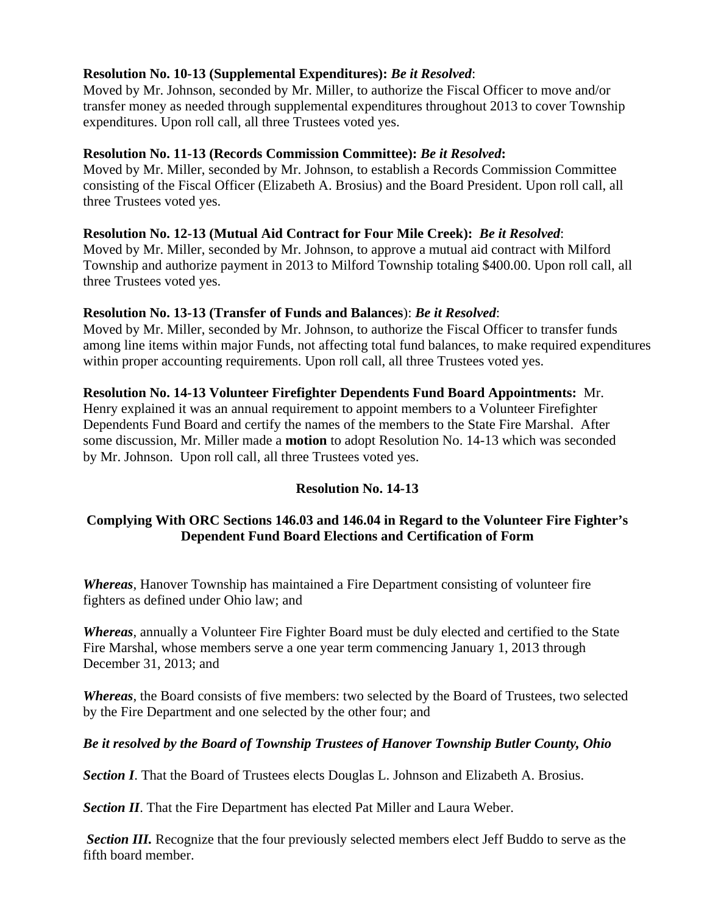# **Resolution No. 10-13 (Supplemental Expenditures):** *Be it Resolved*:

Moved by Mr. Johnson, seconded by Mr. Miller, to authorize the Fiscal Officer to move and/or transfer money as needed through supplemental expenditures throughout 2013 to cover Township expenditures. Upon roll call, all three Trustees voted yes.

### **Resolution No. 11-13 (Records Commission Committee):** *Be it Resolved***:**

Moved by Mr. Miller, seconded by Mr. Johnson, to establish a Records Commission Committee consisting of the Fiscal Officer (Elizabeth A. Brosius) and the Board President. Upon roll call, all three Trustees voted yes.

### **Resolution No. 12-13 (Mutual Aid Contract for Four Mile Creek):** *Be it Resolved*:

Moved by Mr. Miller, seconded by Mr. Johnson, to approve a mutual aid contract with Milford Township and authorize payment in 2013 to Milford Township totaling \$400.00. Upon roll call, all three Trustees voted yes.

### **Resolution No. 13-13 (Transfer of Funds and Balances**): *Be it Resolved*:

Moved by Mr. Miller, seconded by Mr. Johnson, to authorize the Fiscal Officer to transfer funds among line items within major Funds, not affecting total fund balances, to make required expenditures within proper accounting requirements. Upon roll call, all three Trustees voted yes.

### **Resolution No. 14-13 Volunteer Firefighter Dependents Fund Board Appointments:** Mr.

Henry explained it was an annual requirement to appoint members to a Volunteer Firefighter Dependents Fund Board and certify the names of the members to the State Fire Marshal. After some discussion, Mr. Miller made a **motion** to adopt Resolution No. 14-13 which was seconded by Mr. Johnson. Upon roll call, all three Trustees voted yes.

# **Resolution No. 14-13**

# **Complying With ORC Sections 146.03 and 146.04 in Regard to the Volunteer Fire Fighter's Dependent Fund Board Elections and Certification of Form**

*Whereas*, Hanover Township has maintained a Fire Department consisting of volunteer fire fighters as defined under Ohio law; and

*Whereas*, annually a Volunteer Fire Fighter Board must be duly elected and certified to the State Fire Marshal, whose members serve a one year term commencing January 1, 2013 through December 31, 2013; and

*Whereas*, the Board consists of five members: two selected by the Board of Trustees, two selected by the Fire Department and one selected by the other four; and

# *Be it resolved by the Board of Township Trustees of Hanover Township Butler County, Ohio*

**Section I**. That the Board of Trustees elects Douglas L. Johnson and Elizabeth A. Brosius.

*Section II*. That the Fire Department has elected Pat Miller and Laura Weber.

**Section III.** Recognize that the four previously selected members elect Jeff Buddo to serve as the fifth board member.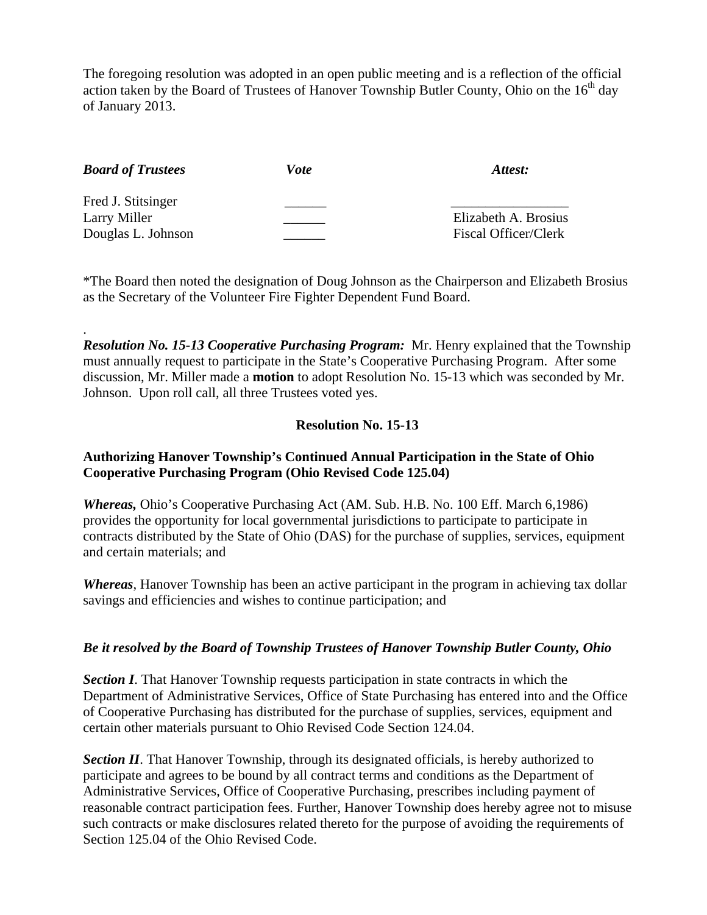The foregoing resolution was adopted in an open public meeting and is a reflection of the official action taken by the Board of Trustees of Hanover Township Butler County, Ohio on the  $16<sup>th</sup>$  day of January 2013.

| <b>Board of Trustees</b> | Vote | Attest:                     |
|--------------------------|------|-----------------------------|
| Fred J. Stitsinger       |      |                             |
| Larry Miller             |      | Elizabeth A. Brosius        |
| Douglas L. Johnson       |      | <b>Fiscal Officer/Clerk</b> |

.

\*The Board then noted the designation of Doug Johnson as the Chairperson and Elizabeth Brosius as the Secretary of the Volunteer Fire Fighter Dependent Fund Board.

*Resolution No. 15-13 Cooperative Purchasing Program:* Mr. Henry explained that the Township must annually request to participate in the State's Cooperative Purchasing Program. After some discussion, Mr. Miller made a **motion** to adopt Resolution No. 15-13 which was seconded by Mr. Johnson. Upon roll call, all three Trustees voted yes.

# **Resolution No. 15-13**

### **Authorizing Hanover Township's Continued Annual Participation in the State of Ohio Cooperative Purchasing Program (Ohio Revised Code 125.04)**

*Whereas,* Ohio's Cooperative Purchasing Act (AM. Sub. H.B. No. 100 Eff. March 6,1986) provides the opportunity for local governmental jurisdictions to participate to participate in contracts distributed by the State of Ohio (DAS) for the purchase of supplies, services, equipment and certain materials; and

*Whereas*, Hanover Township has been an active participant in the program in achieving tax dollar savings and efficiencies and wishes to continue participation; and

### *Be it resolved by the Board of Township Trustees of Hanover Township Butler County, Ohio*

**Section I**. That Hanover Township requests participation in state contracts in which the Department of Administrative Services, Office of State Purchasing has entered into and the Office of Cooperative Purchasing has distributed for the purchase of supplies, services, equipment and certain other materials pursuant to Ohio Revised Code Section 124.04.

**Section II**. That Hanover Township, through its designated officials, is hereby authorized to participate and agrees to be bound by all contract terms and conditions as the Department of Administrative Services, Office of Cooperative Purchasing, prescribes including payment of reasonable contract participation fees. Further, Hanover Township does hereby agree not to misuse such contracts or make disclosures related thereto for the purpose of avoiding the requirements of Section 125.04 of the Ohio Revised Code.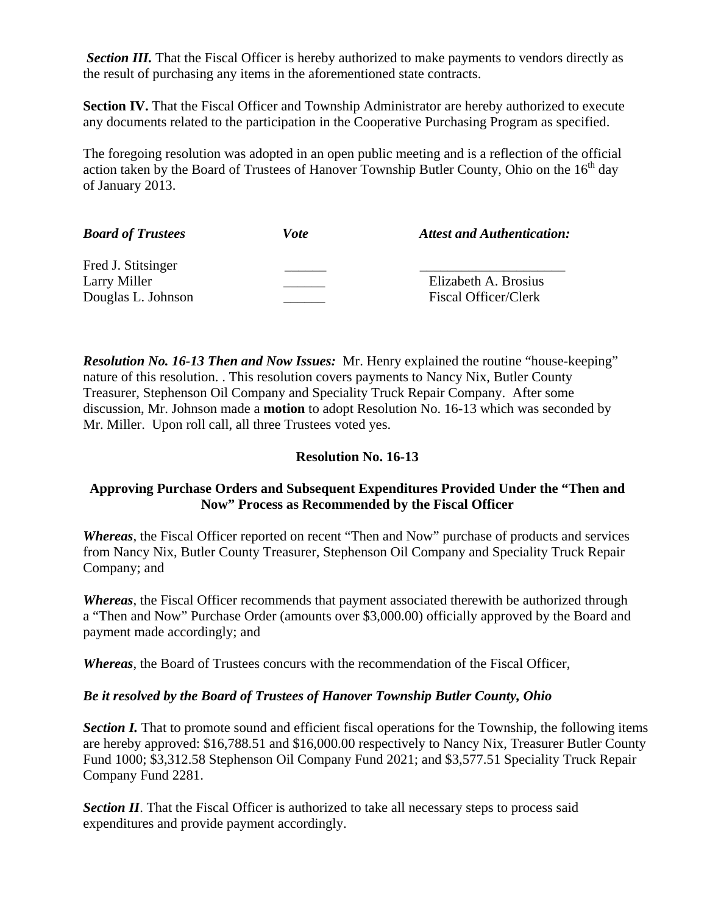**Section III.** That the Fiscal Officer is hereby authorized to make payments to vendors directly as the result of purchasing any items in the aforementioned state contracts.

**Section IV.** That the Fiscal Officer and Township Administrator are hereby authorized to execute any documents related to the participation in the Cooperative Purchasing Program as specified.

The foregoing resolution was adopted in an open public meeting and is a reflection of the official action taken by the Board of Trustees of Hanover Township Butler County, Ohio on the  $16<sup>th</sup>$  day of January 2013.

| <b>Board of Trustees</b> | <i>Vote</i> | <b>Attest and Authentication:</b> |
|--------------------------|-------------|-----------------------------------|
| Fred J. Stitsinger       |             |                                   |
| Larry Miller             |             | Elizabeth A. Brosius              |
| Douglas L. Johnson       |             | Fiscal Officer/Clerk              |

*Resolution No. 16-13 Then and Now Issues:* Mr. Henry explained the routine "house-keeping" nature of this resolution. . This resolution covers payments to Nancy Nix, Butler County Treasurer, Stephenson Oil Company and Speciality Truck Repair Company. After some discussion, Mr. Johnson made a **motion** to adopt Resolution No. 16-13 which was seconded by Mr. Miller. Upon roll call, all three Trustees voted yes.

# **Resolution No. 16-13**

# **Approving Purchase Orders and Subsequent Expenditures Provided Under the "Then and Now" Process as Recommended by the Fiscal Officer**

*Whereas*, the Fiscal Officer reported on recent "Then and Now" purchase of products and services from Nancy Nix, Butler County Treasurer, Stephenson Oil Company and Speciality Truck Repair Company; and

*Whereas*, the Fiscal Officer recommends that payment associated therewith be authorized through a "Then and Now" Purchase Order (amounts over \$3,000.00) officially approved by the Board and payment made accordingly; and

*Whereas*, the Board of Trustees concurs with the recommendation of the Fiscal Officer,

### *Be it resolved by the Board of Trustees of Hanover Township Butler County, Ohio*

*Section I.* That to promote sound and efficient fiscal operations for the Township, the following items are hereby approved: \$16,788.51 and \$16,000.00 respectively to Nancy Nix, Treasurer Butler County Fund 1000; \$3,312.58 Stephenson Oil Company Fund 2021; and \$3,577.51 Speciality Truck Repair Company Fund 2281.

**Section II**. That the Fiscal Officer is authorized to take all necessary steps to process said expenditures and provide payment accordingly.